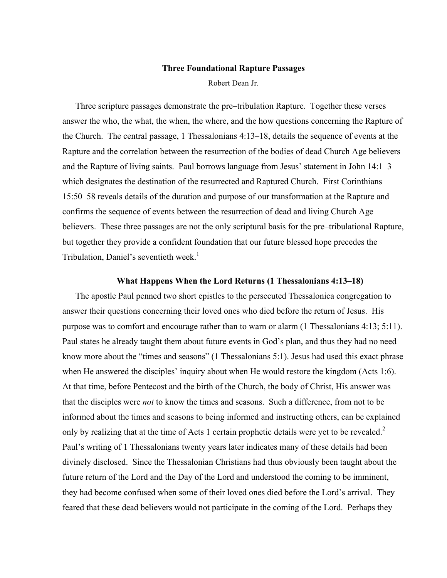#### **Three Foundational Rapture Passages**

Robert Dean Jr.

Three scripture passages demonstrate the pre–tribulation Rapture. Together these verses answer the who, the what, the when, the where, and the how questions concerning the Rapture of the Church. The central passage, 1 Thessalonians 4:13–18, details the sequence of events at the Rapture and the correlation between the resurrection of the bodies of dead Church Age believers and the Rapture of living saints. Paul borrows language from Jesus' statement in John 14:1–3 which designates the destination of the resurrected and Raptured Church. First Corinthians 15:50–58 reveals details of the duration and purpose of our transformation at the Rapture and confirms the sequence of events between the resurrection of dead and living Church Age believers. These three passages are not the only scriptural basis for the pre–tribulational Rapture, but together they provide a confident foundation that our future blessed hope precedes the Tribulation, Daniel's seventieth week.<sup>1</sup>

#### **What Happens When the Lord Returns (1 Thessalonians 4:13–18)**

The apostle Paul penned two short epistles to the persecuted Thessalonica congregation to answer their questions concerning their loved ones who died before the return of Jesus. His purpose was to comfort and encourage rather than to warn or alarm (1 Thessalonians 4:13; 5:11). Paul states he already taught them about future events in God's plan, and thus they had no need know more about the "times and seasons" (1 Thessalonians 5:1). Jesus had used this exact phrase when He answered the disciples' inquiry about when He would restore the kingdom (Acts 1:6). At that time, before Pentecost and the birth of the Church, the body of Christ, His answer was that the disciples were *not* to know the times and seasons. Such a difference, from not to be informed about the times and seasons to being informed and instructing others, can be explained only by realizing that at the time of Acts 1 certain prophetic details were yet to be revealed.<sup>2</sup> Paul's writing of 1 Thessalonians twenty years later indicates many of these details had been divinely disclosed. Since the Thessalonian Christians had thus obviously been taught about the future return of the Lord and the Day of the Lord and understood the coming to be imminent, they had become confused when some of their loved ones died before the Lord's arrival. They feared that these dead believers would not participate in the coming of the Lord. Perhaps they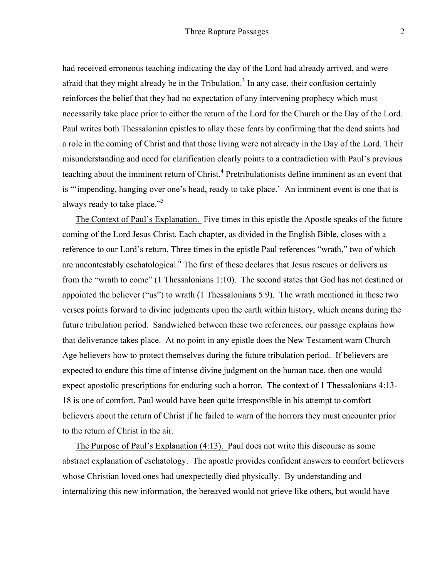had received erroneous teaching indicating the day of the Lord had already arrived, and were afraid that they might already be in the Tribulation.<sup>3</sup> In any case, their confusion certainly reinforces the belief that they had no expectation of any intervening prophecy which must necessarily take place prior to either the return of the Lord for the Church or the Day of the Lord. Paul writes both Thessalonian epistles to allay these fears by confirming that the dead saints had a role in the coming of Christ and that those living were not already in the Day of the Lord. Their misunderstanding and need for clarification clearly points to a contradiction with Paul's previous teaching about the imminent return of Christ.<sup>4</sup> Pretribulationists define imminent as an event that is "'impending, hanging over one's head, ready to take place.' An imminent event is one that is always ready to take place."<sup>5</sup>

The Context of Paul's Explanation. Five times in this epistle the Apostle speaks of the future coming of the Lord Jesus Christ. Each chapter, as divided in the English Bible, closes with a reference to our Lord's return. Three times in the epistle Paul references "wrath," two of which are uncontestably eschatological.<sup>6</sup> The first of these declares that Jesus rescues or delivers us from the "wrath to come" (1 Thessalonians 1:10). The second states that God has not destined or appointed the believer ("us") to wrath (1 Thessalonians 5:9). The wrath mentioned in these two verses points forward to divine judgments upon the earth within history, which means during the future tribulation period. Sandwiched between these two references, our passage explains how that deliverance takes place. At no point in any epistle does the New Testament warn Church Age believers how to protect themselves during the future tribulation period. If believers are expected to endure this time of intense divine judgment on the human race, then one would expect apostolic prescriptions for enduring such a horror. The context of 1 Thessalonians 4:13- 18 is one of comfort. Paul would have been quite irresponsible in his attempt to comfort believers about the return of Christ if he failed to warn of the horrors they must encounter prior to the return of Christ in the air.

The Purpose of Paul's Explanation (4:13). Paul does not write this discourse as some abstract explanation of eschatology. The apostle provides confident answers to comfort believers whose Christian loved ones had unexpectedly died physically. By understanding and internalizing this new information, the bereaved would not grieve like others, but would have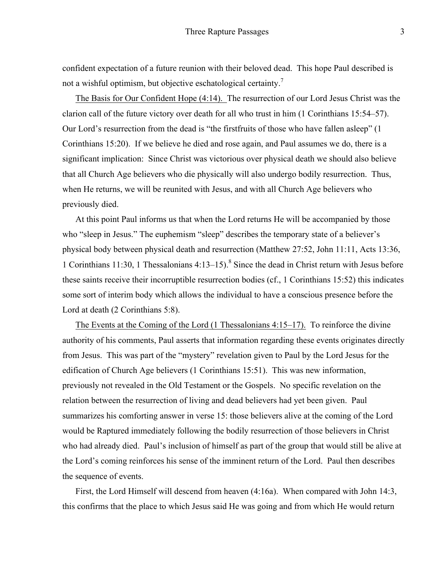confident expectation of a future reunion with their beloved dead. This hope Paul described is not a wishful optimism, but objective eschatological certainty.<sup>7</sup>

The Basis for Our Confident Hope (4:14). The resurrection of our Lord Jesus Christ was the clarion call of the future victory over death for all who trust in him (1 Corinthians 15:54–57). Our Lord's resurrection from the dead is "the firstfruits of those who have fallen asleep" (1 Corinthians 15:20). If we believe he died and rose again, and Paul assumes we do, there is a significant implication: Since Christ was victorious over physical death we should also believe that all Church Age believers who die physically will also undergo bodily resurrection. Thus, when He returns, we will be reunited with Jesus, and with all Church Age believers who previously died.

At this point Paul informs us that when the Lord returns He will be accompanied by those who "sleep in Jesus." The euphemism "sleep" describes the temporary state of a believer's physical body between physical death and resurrection (Matthew 27:52, John 11:11, Acts 13:36, 1 Corinthians 11:30, 1 Thessalonians 4:13–15).<sup>8</sup> Since the dead in Christ return with Jesus before these saints receive their incorruptible resurrection bodies (cf., 1 Corinthians 15:52) this indicates some sort of interim body which allows the individual to have a conscious presence before the Lord at death (2 Corinthians 5:8).

The Events at the Coming of the Lord (1 Thessalonians 4:15–17). To reinforce the divine authority of his comments, Paul asserts that information regarding these events originates directly from Jesus. This was part of the "mystery" revelation given to Paul by the Lord Jesus for the edification of Church Age believers (1 Corinthians 15:51). This was new information, previously not revealed in the Old Testament or the Gospels. No specific revelation on the relation between the resurrection of living and dead believers had yet been given. Paul summarizes his comforting answer in verse 15: those believers alive at the coming of the Lord would be Raptured immediately following the bodily resurrection of those believers in Christ who had already died. Paul's inclusion of himself as part of the group that would still be alive at the Lord's coming reinforces his sense of the imminent return of the Lord. Paul then describes the sequence of events.

First, the Lord Himself will descend from heaven (4:16a). When compared with John 14:3, this confirms that the place to which Jesus said He was going and from which He would return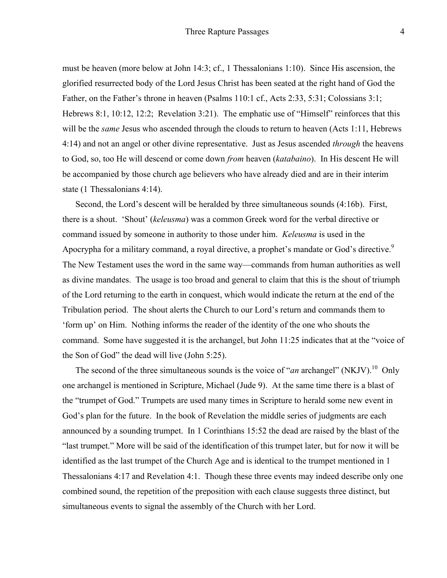must be heaven (more below at John 14:3; cf., 1 Thessalonians 1:10). Since His ascension, the glorified resurrected body of the Lord Jesus Christ has been seated at the right hand of God the Father, on the Father's throne in heaven (Psalms 110:1 cf., Acts 2:33, 5:31; Colossians 3:1; Hebrews 8:1, 10:12, 12:2; Revelation 3:21). The emphatic use of "Himself" reinforces that this will be the *same* Jesus who ascended through the clouds to return to heaven (Acts 1:11, Hebrews 4:14) and not an angel or other divine representative. Just as Jesus ascended *through* the heavens to God, so, too He will descend or come down *from* heaven (*katabaino*). In His descent He will be accompanied by those church age believers who have already died and are in their interim state (1 Thessalonians 4:14).

Second, the Lord's descent will be heralded by three simultaneous sounds (4:16b). First, there is a shout. 'Shout' (*keleusma*) was a common Greek word for the verbal directive or command issued by someone in authority to those under him. *Keleusma* is used in the Apocrypha for a military command, a royal directive, a prophet's mandate or God's directive.<sup>9</sup> The New Testament uses the word in the same way—commands from human authorities as well as divine mandates. The usage is too broad and general to claim that this is the shout of triumph of the Lord returning to the earth in conquest, which would indicate the return at the end of the Tribulation period. The shout alerts the Church to our Lord's return and commands them to 'form up' on Him. Nothing informs the reader of the identity of the one who shouts the command. Some have suggested it is the archangel, but John 11:25 indicates that at the "voice of the Son of God" the dead will live (John 5:25).

The second of the three simultaneous sounds is the voice of "*an* archangel" (NKJV).<sup>10</sup> Only one archangel is mentioned in Scripture, Michael (Jude 9). At the same time there is a blast of the "trumpet of God." Trumpets are used many times in Scripture to herald some new event in God's plan for the future. In the book of Revelation the middle series of judgments are each announced by a sounding trumpet. In 1 Corinthians 15:52 the dead are raised by the blast of the "last trumpet." More will be said of the identification of this trumpet later, but for now it will be identified as the last trumpet of the Church Age and is identical to the trumpet mentioned in 1 Thessalonians 4:17 and Revelation 4:1. Though these three events may indeed describe only one combined sound, the repetition of the preposition with each clause suggests three distinct, but simultaneous events to signal the assembly of the Church with her Lord.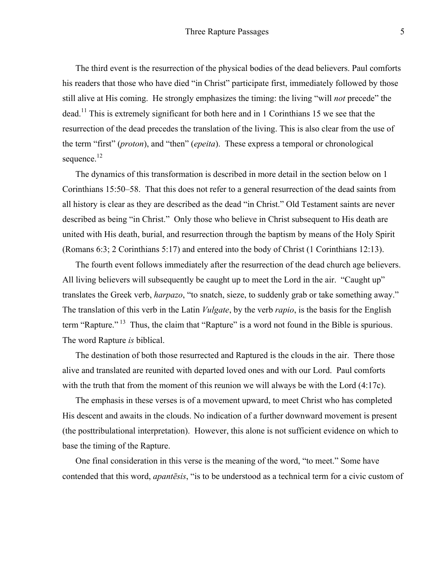The third event is the resurrection of the physical bodies of the dead believers. Paul comforts his readers that those who have died "in Christ" participate first, immediately followed by those still alive at His coming. He strongly emphasizes the timing: the living "will *not* precede" the  $\alpha$  dead.<sup>11</sup> This is extremely significant for both here and in 1 Corinthians 15 we see that the resurrection of the dead precedes the translation of the living. This is also clear from the use of the term "first" (*proton*), and "then" (*epeita*). These express a temporal or chronological sequence.<sup>12</sup>

The dynamics of this transformation is described in more detail in the section below on 1 Corinthians 15:50–58. That this does not refer to a general resurrection of the dead saints from all history is clear as they are described as the dead "in Christ." Old Testament saints are never described as being "in Christ." Only those who believe in Christ subsequent to His death are united with His death, burial, and resurrection through the baptism by means of the Holy Spirit (Romans 6:3; 2 Corinthians 5:17) and entered into the body of Christ (1 Corinthians 12:13).

The fourth event follows immediately after the resurrection of the dead church age believers. All living believers will subsequently be caught up to meet the Lord in the air. "Caught up" translates the Greek verb, *harpazo*, "to snatch, sieze, to suddenly grab or take something away." The translation of this verb in the Latin *Vulgate*, by the verb *rapio*, is the basis for the English term "Rapture." <sup>13</sup> Thus, the claim that "Rapture" is a word not found in the Bible is spurious. The word Rapture *is* biblical.

The destination of both those resurrected and Raptured is the clouds in the air. There those alive and translated are reunited with departed loved ones and with our Lord. Paul comforts with the truth that from the moment of this reunion we will always be with the Lord  $(4:17c)$ .

The emphasis in these verses is of a movement upward, to meet Christ who has completed His descent and awaits in the clouds. No indication of a further downward movement is present (the posttribulational interpretation). However, this alone is not sufficient evidence on which to base the timing of the Rapture.

One final consideration in this verse is the meaning of the word, "to meet." Some have contended that this word, *apantēsis*, "is to be understood as a technical term for a civic custom of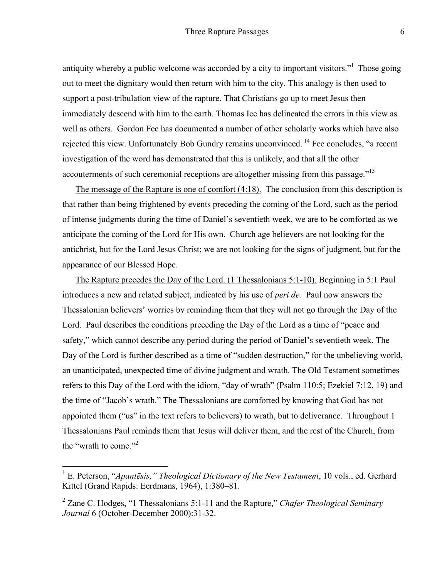antiquity whereby a public welcome was accorded by a city to important visitors."<sup>1</sup> Those going out to meet the dignitary would then return with him to the city. This analogy is then used to support a post-tribulation view of the rapture. That Christians go up to meet Jesus then immediately descend with him to the earth. Thomas Ice has delineated the errors in this view as well as others. Gordon Fee has documented a number of other scholarly works which have also rejected this view. Unfortunately Bob Gundry remains unconvinced. <sup>14</sup> Fee concludes, "a recent investigation of the word has demonstrated that this is unlikely, and that all the other accouterments of such ceremonial receptions are altogether missing from this passage."<sup>15</sup>

The message of the Rapture is one of comfort (4:18). The conclusion from this description is that rather than being frightened by events preceding the coming of the Lord, such as the period of intense judgments during the time of Daniel's seventieth week, we are to be comforted as we anticipate the coming of the Lord for His own. Church age believers are not looking for the antichrist, but for the Lord Jesus Christ; we are not looking for the signs of judgment, but for the appearance of our Blessed Hope.

The Rapture precedes the Day of the Lord. (1 Thessalonians 5:1-10). Beginning in 5:1 Paul introduces a new and related subject, indicated by his use of *peri de.* Paul now answers the Thessalonian believers' worries by reminding them that they will not go through the Day of the Lord. Paul describes the conditions preceding the Day of the Lord as a time of "peace and safety," which cannot describe any period during the period of Daniel's seventieth week. The Day of the Lord is further described as a time of "sudden destruction," for the unbelieving world, an unanticipated, unexpected time of divine judgment and wrath. The Old Testament sometimes refers to this Day of the Lord with the idiom, "day of wrath" (Psalm 110:5; Ezekiel 7:12, 19) and the time of "Jacob's wrath." The Thessalonians are comforted by knowing that God has not appointed them ("us" in the text refers to believers) to wrath, but to deliverance. Throughout 1 Thessalonians Paul reminds them that Jesus will deliver them, and the rest of the Church, from the "wrath to come."<sup>2</sup>

 <sup>1</sup> E. Peterson, "*Apantēsis," Theological Dictionary of the New Testament*, 10 vols., ed. Gerhard Kittel (Grand Rapids: Eerdmans, 1964), 1:380–81.

<sup>2</sup> Zane C. Hodges, "1 Thessalonians 5:1-11 and the Rapture," *Chafer Theological Seminary Journal* 6 (October-December 2000):31-32.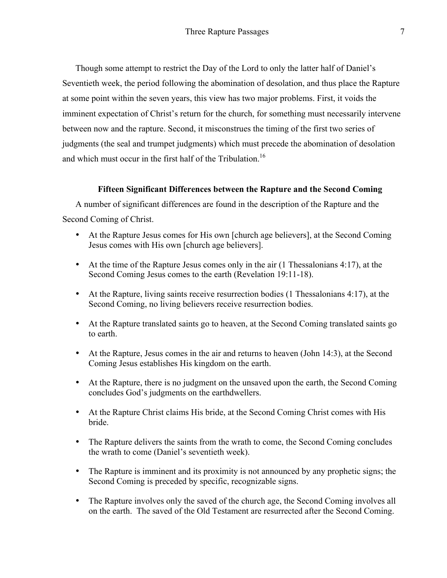Though some attempt to restrict the Day of the Lord to only the latter half of Daniel's Seventieth week, the period following the abomination of desolation, and thus place the Rapture at some point within the seven years, this view has two major problems. First, it voids the imminent expectation of Christ's return for the church, for something must necessarily intervene between now and the rapture. Second, it misconstrues the timing of the first two series of judgments (the seal and trumpet judgments) which must precede the abomination of desolation and which must occur in the first half of the Tribulation.<sup>16</sup>

## **Fifteen Significant Differences between the Rapture and the Second Coming**

A number of significant differences are found in the description of the Rapture and the Second Coming of Christ.

- At the Rapture Jesus comes for His own [church age believers], at the Second Coming Jesus comes with His own [church age believers].
- At the time of the Rapture Jesus comes only in the air (1 Thessalonians 4:17), at the Second Coming Jesus comes to the earth (Revelation 19:11-18).
- At the Rapture, living saints receive resurrection bodies (1 Thessalonians 4:17), at the Second Coming, no living believers receive resurrection bodies.
- At the Rapture translated saints go to heaven, at the Second Coming translated saints go to earth.
- At the Rapture, Jesus comes in the air and returns to heaven (John 14:3), at the Second Coming Jesus establishes His kingdom on the earth.
- At the Rapture, there is no judgment on the unsaved upon the earth, the Second Coming concludes God's judgments on the earthdwellers.
- At the Rapture Christ claims His bride, at the Second Coming Christ comes with His bride.
- The Rapture delivers the saints from the wrath to come, the Second Coming concludes the wrath to come (Daniel's seventieth week).
- The Rapture is imminent and its proximity is not announced by any prophetic signs; the Second Coming is preceded by specific, recognizable signs.
- The Rapture involves only the saved of the church age, the Second Coming involves all on the earth. The saved of the Old Testament are resurrected after the Second Coming.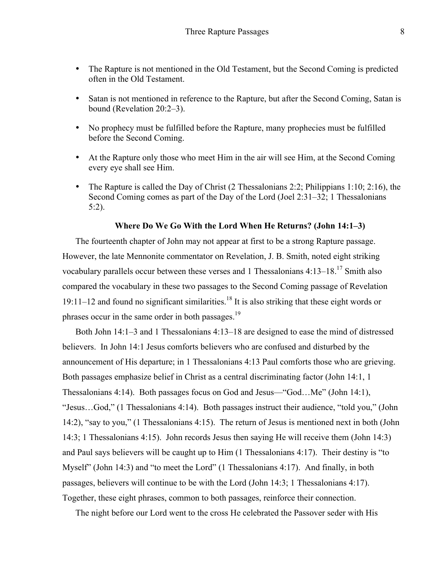- The Rapture is not mentioned in the Old Testament, but the Second Coming is predicted often in the Old Testament.
- Satan is not mentioned in reference to the Rapture, but after the Second Coming, Satan is bound (Revelation 20:2–3).
- No prophecy must be fulfilled before the Rapture, many prophecies must be fulfilled before the Second Coming.
- At the Rapture only those who meet Him in the air will see Him, at the Second Coming every eye shall see Him.
- The Rapture is called the Day of Christ (2 Thessalonians 2:2; Philippians 1:10; 2:16), the Second Coming comes as part of the Day of the Lord (Joel 2:31–32; 1 Thessalonians 5:2).

#### **Where Do We Go With the Lord When He Returns? (John 14:1–3)**

The fourteenth chapter of John may not appear at first to be a strong Rapture passage. However, the late Mennonite commentator on Revelation, J. B. Smith, noted eight striking vocabulary parallels occur between these verses and 1 Thessalonians  $4:13-18$ <sup>17</sup> Smith also compared the vocabulary in these two passages to the Second Coming passage of Revelation 19:11–12 and found no significant similarities.<sup>18</sup> It is also striking that these eight words or phrases occur in the same order in both passages.19

Both John 14:1–3 and 1 Thessalonians 4:13–18 are designed to ease the mind of distressed believers. In John 14:1 Jesus comforts believers who are confused and disturbed by the announcement of His departure; in 1 Thessalonians 4:13 Paul comforts those who are grieving. Both passages emphasize belief in Christ as a central discriminating factor (John 14:1, 1 Thessalonians 4:14). Both passages focus on God and Jesus—"God…Me" (John 14:1), "Jesus…God," (1 Thessalonians 4:14). Both passages instruct their audience, "told you," (John 14:2), "say to you," (1 Thessalonians 4:15). The return of Jesus is mentioned next in both (John 14:3; 1 Thessalonians 4:15). John records Jesus then saying He will receive them (John 14:3) and Paul says believers will be caught up to Him (1 Thessalonians 4:17). Their destiny is "to Myself" (John 14:3) and "to meet the Lord" (1 Thessalonians 4:17). And finally, in both passages, believers will continue to be with the Lord (John 14:3; 1 Thessalonians 4:17). Together, these eight phrases, common to both passages, reinforce their connection.

The night before our Lord went to the cross He celebrated the Passover seder with His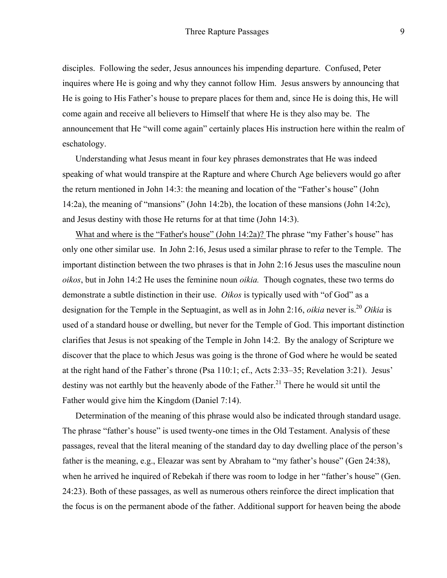disciples. Following the seder, Jesus announces his impending departure. Confused, Peter inquires where He is going and why they cannot follow Him. Jesus answers by announcing that He is going to His Father's house to prepare places for them and, since He is doing this, He will come again and receive all believers to Himself that where He is they also may be. The announcement that He "will come again" certainly places His instruction here within the realm of eschatology.

Understanding what Jesus meant in four key phrases demonstrates that He was indeed speaking of what would transpire at the Rapture and where Church Age believers would go after the return mentioned in John 14:3: the meaning and location of the "Father's house" (John 14:2a), the meaning of "mansions" (John 14:2b), the location of these mansions (John 14:2c), and Jesus destiny with those He returns for at that time (John 14:3).

What and where is the "Father's house" (John 14:2a)? The phrase "my Father's house" has only one other similar use. In John 2:16, Jesus used a similar phrase to refer to the Temple. The important distinction between the two phrases is that in John 2:16 Jesus uses the masculine noun *oikos*, but in John 14:2 He uses the feminine noun *oikia.* Though cognates, these two terms do demonstrate a subtle distinction in their use. *Oikos* is typically used with "of God" as a designation for the Temple in the Septuagint, as well as in John 2:16, *oikia* never is.<sup>20</sup> Oikia is used of a standard house or dwelling, but never for the Temple of God. This important distinction clarifies that Jesus is not speaking of the Temple in John 14:2. By the analogy of Scripture we discover that the place to which Jesus was going is the throne of God where he would be seated at the right hand of the Father's throne (Psa 110:1; cf., Acts 2:33–35; Revelation 3:21). Jesus' destiny was not earthly but the heavenly abode of the Father.<sup>21</sup> There he would sit until the Father would give him the Kingdom (Daniel 7:14).

Determination of the meaning of this phrase would also be indicated through standard usage. The phrase "father's house" is used twenty-one times in the Old Testament. Analysis of these passages, reveal that the literal meaning of the standard day to day dwelling place of the person's father is the meaning, e.g., Eleazar was sent by Abraham to "my father's house" (Gen 24:38), when he arrived he inquired of Rebekah if there was room to lodge in her "father's house" (Gen. 24:23). Both of these passages, as well as numerous others reinforce the direct implication that the focus is on the permanent abode of the father. Additional support for heaven being the abode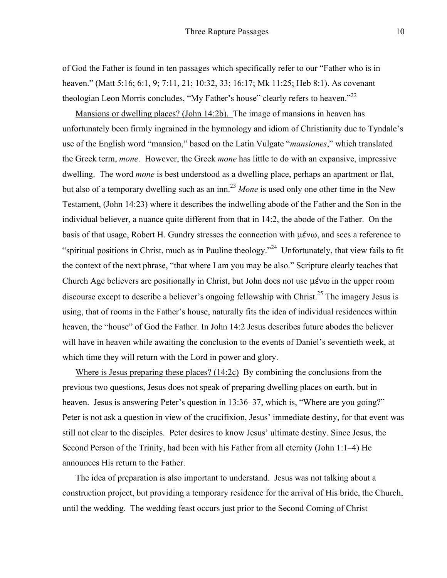of God the Father is found in ten passages which specifically refer to our "Father who is in heaven." (Matt 5:16; 6:1, 9; 7:11, 21; 10:32, 33; 16:17; Mk 11:25; Heb 8:1). As covenant theologian Leon Morris concludes, "My Father's house" clearly refers to heaven."<sup>22</sup>

Mansions or dwelling places? (John 14:2b). The image of mansions in heaven has unfortunately been firmly ingrained in the hymnology and idiom of Christianity due to Tyndale's use of the English word "mansion," based on the Latin Vulgate "*mansiones*," which translated the Greek term, *mone*. However, the Greek *mone* has little to do with an expansive, impressive dwelling. The word *mone* is best understood as a dwelling place, perhaps an apartment or flat, but also of a temporary dwelling such as an inn.<sup>23</sup> Mone is used only one other time in the New Testament, (John 14:23) where it describes the indwelling abode of the Father and the Son in the individual believer, a nuance quite different from that in 14:2, the abode of the Father. On the basis of that usage, Robert H. Gundry stresses the connection with μένω, and sees a reference to "spiritual positions in Christ, much as in Pauline theology."<sup>24</sup> Unfortunately, that view fails to fit the context of the next phrase, "that where I am you may be also." Scripture clearly teaches that Church Age believers are positionally in Christ, but John does not use μένω in the upper room discourse except to describe a believer's ongoing fellowship with Christ.<sup>25</sup> The imagery Jesus is using, that of rooms in the Father's house, naturally fits the idea of individual residences within heaven, the "house" of God the Father. In John 14:2 Jesus describes future abodes the believer will have in heaven while awaiting the conclusion to the events of Daniel's seventieth week, at which time they will return with the Lord in power and glory.

Where is Jesus preparing these places? (14:2c) By combining the conclusions from the previous two questions, Jesus does not speak of preparing dwelling places on earth, but in heaven. Jesus is answering Peter's question in 13:36–37, which is, "Where are you going?" Peter is not ask a question in view of the crucifixion, Jesus' immediate destiny, for that event was still not clear to the disciples. Peter desires to know Jesus' ultimate destiny. Since Jesus, the Second Person of the Trinity, had been with his Father from all eternity (John 1:1–4) He announces His return to the Father.

The idea of preparation is also important to understand. Jesus was not talking about a construction project, but providing a temporary residence for the arrival of His bride, the Church, until the wedding. The wedding feast occurs just prior to the Second Coming of Christ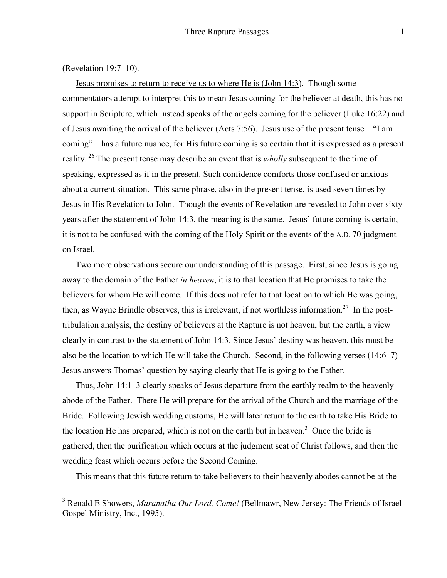(Revelation 19:7–10).

Jesus promises to return to receive us to where He is (John 14:3). Though some commentators attempt to interpret this to mean Jesus coming for the believer at death, this has no support in Scripture, which instead speaks of the angels coming for the believer (Luke 16:22) and of Jesus awaiting the arrival of the believer (Acts 7:56). Jesus use of the present tense—"I am coming"—has a future nuance, for His future coming is so certain that it is expressed as a present reality. <sup>26</sup> The present tense may describe an event that is *wholly* subsequent to the time of speaking, expressed as if in the present. Such confidence comforts those confused or anxious about a current situation. This same phrase, also in the present tense, is used seven times by Jesus in His Revelation to John. Though the events of Revelation are revealed to John over sixty years after the statement of John 14:3, the meaning is the same. Jesus' future coming is certain, it is not to be confused with the coming of the Holy Spirit or the events of the A.D. 70 judgment on Israel.

Two more observations secure our understanding of this passage. First, since Jesus is going away to the domain of the Father *in heaven*, it is to that location that He promises to take the believers for whom He will come. If this does not refer to that location to which He was going, then, as Wayne Brindle observes, this is irrelevant, if not worthless information.<sup>27</sup> In the posttribulation analysis, the destiny of believers at the Rapture is not heaven, but the earth, a view clearly in contrast to the statement of John 14:3. Since Jesus' destiny was heaven, this must be also be the location to which He will take the Church. Second, in the following verses (14:6–7) Jesus answers Thomas' question by saying clearly that He is going to the Father.

Thus, John 14:1–3 clearly speaks of Jesus departure from the earthly realm to the heavenly abode of the Father. There He will prepare for the arrival of the Church and the marriage of the Bride. Following Jewish wedding customs, He will later return to the earth to take His Bride to the location He has prepared, which is not on the earth but in heaven.<sup>3</sup> Once the bride is gathered, then the purification which occurs at the judgment seat of Christ follows, and then the wedding feast which occurs before the Second Coming.

This means that this future return to take believers to their heavenly abodes cannot be at the

<sup>&</sup>lt;sup>3</sup> Renald E Showers, *Maranatha Our Lord, Come!* (Bellmawr, New Jersey: The Friends of Israel) Gospel Ministry, Inc., 1995).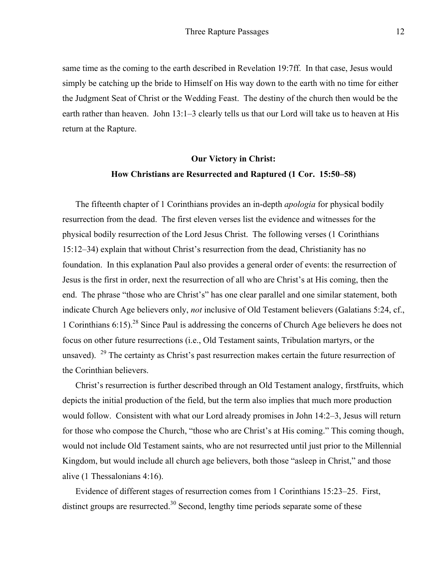same time as the coming to the earth described in Revelation 19:7ff. In that case, Jesus would simply be catching up the bride to Himself on His way down to the earth with no time for either the Judgment Seat of Christ or the Wedding Feast. The destiny of the church then would be the earth rather than heaven. John 13:1–3 clearly tells us that our Lord will take us to heaven at His return at the Rapture.

# **Our Victory in Christ: How Christians are Resurrected and Raptured (1 Cor. 15:50–58)**

The fifteenth chapter of 1 Corinthians provides an in-depth *apologia* for physical bodily resurrection from the dead. The first eleven verses list the evidence and witnesses for the physical bodily resurrection of the Lord Jesus Christ. The following verses (1 Corinthians 15:12–34) explain that without Christ's resurrection from the dead, Christianity has no foundation. In this explanation Paul also provides a general order of events: the resurrection of Jesus is the first in order, next the resurrection of all who are Christ's at His coming, then the end. The phrase "those who are Christ's" has one clear parallel and one similar statement, both indicate Church Age believers only, *not* inclusive of Old Testament believers (Galatians 5:24, cf., 1 Corinthians 6:15). <sup>28</sup> Since Paul is addressing the concerns of Church Age believers he does not focus on other future resurrections (i.e., Old Testament saints, Tribulation martyrs, or the unsaved). <sup>29</sup> The certainty as Christ's past resurrection makes certain the future resurrection of the Corinthian believers.

Christ's resurrection is further described through an Old Testament analogy, firstfruits, which depicts the initial production of the field, but the term also implies that much more production would follow. Consistent with what our Lord already promises in John 14:2–3, Jesus will return for those who compose the Church, "those who are Christ's at His coming." This coming though, would not include Old Testament saints, who are not resurrected until just prior to the Millennial Kingdom, but would include all church age believers, both those "asleep in Christ," and those alive (1 Thessalonians 4:16).

Evidence of different stages of resurrection comes from 1 Corinthians 15:23–25. First, distinct groups are resurrected.<sup>30</sup> Second, lengthy time periods separate some of these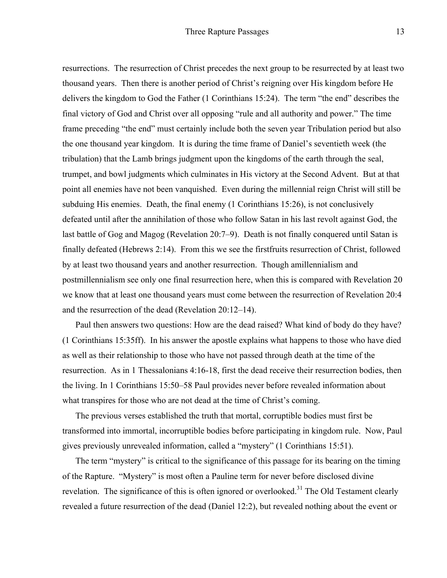resurrections. The resurrection of Christ precedes the next group to be resurrected by at least two thousand years. Then there is another period of Christ's reigning over His kingdom before He delivers the kingdom to God the Father (1 Corinthians 15:24). The term "the end" describes the final victory of God and Christ over all opposing "rule and all authority and power." The time frame preceding "the end" must certainly include both the seven year Tribulation period but also the one thousand year kingdom. It is during the time frame of Daniel's seventieth week (the tribulation) that the Lamb brings judgment upon the kingdoms of the earth through the seal, trumpet, and bowl judgments which culminates in His victory at the Second Advent. But at that point all enemies have not been vanquished. Even during the millennial reign Christ will still be subduing His enemies. Death, the final enemy (1 Corinthians 15:26), is not conclusively defeated until after the annihilation of those who follow Satan in his last revolt against God, the last battle of Gog and Magog (Revelation 20:7–9). Death is not finally conquered until Satan is finally defeated (Hebrews 2:14). From this we see the firstfruits resurrection of Christ, followed by at least two thousand years and another resurrection. Though amillennialism and postmillennialism see only one final resurrection here, when this is compared with Revelation 20 we know that at least one thousand years must come between the resurrection of Revelation 20:4 and the resurrection of the dead (Revelation 20:12–14).

Paul then answers two questions: How are the dead raised? What kind of body do they have? (1 Corinthians 15:35ff). In his answer the apostle explains what happens to those who have died as well as their relationship to those who have not passed through death at the time of the resurrection. As in 1 Thessalonians 4:16-18, first the dead receive their resurrection bodies, then the living. In 1 Corinthians 15:50–58 Paul provides never before revealed information about what transpires for those who are not dead at the time of Christ's coming.

The previous verses established the truth that mortal, corruptible bodies must first be transformed into immortal, incorruptible bodies before participating in kingdom rule. Now, Paul gives previously unrevealed information, called a "mystery" (1 Corinthians 15:51).

The term "mystery" is critical to the significance of this passage for its bearing on the timing of the Rapture. "Mystery" is most often a Pauline term for never before disclosed divine revelation. The significance of this is often ignored or overlooked.<sup>31</sup> The Old Testament clearly revealed a future resurrection of the dead (Daniel 12:2), but revealed nothing about the event or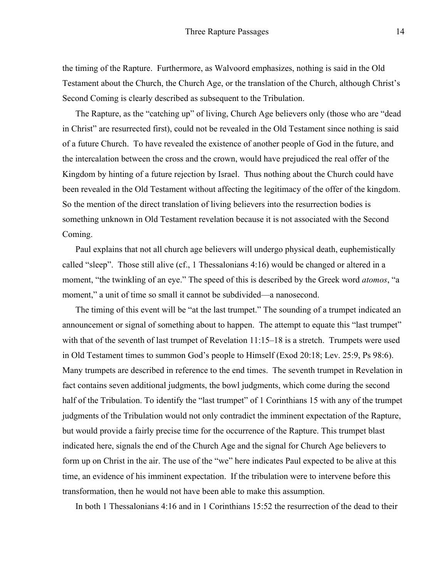the timing of the Rapture. Furthermore, as Walvoord emphasizes, nothing is said in the Old Testament about the Church, the Church Age, or the translation of the Church, although Christ's Second Coming is clearly described as subsequent to the Tribulation.

The Rapture, as the "catching up" of living, Church Age believers only (those who are "dead in Christ" are resurrected first), could not be revealed in the Old Testament since nothing is said of a future Church. To have revealed the existence of another people of God in the future, and the intercalation between the cross and the crown, would have prejudiced the real offer of the Kingdom by hinting of a future rejection by Israel. Thus nothing about the Church could have been revealed in the Old Testament without affecting the legitimacy of the offer of the kingdom. So the mention of the direct translation of living believers into the resurrection bodies is something unknown in Old Testament revelation because it is not associated with the Second Coming.

Paul explains that not all church age believers will undergo physical death, euphemistically called "sleep". Those still alive (cf., 1 Thessalonians 4:16) would be changed or altered in a moment, "the twinkling of an eye." The speed of this is described by the Greek word *atomos*, "a moment," a unit of time so small it cannot be subdivided—a nanosecond.

The timing of this event will be "at the last trumpet." The sounding of a trumpet indicated an announcement or signal of something about to happen. The attempt to equate this "last trumpet" with that of the seventh of last trumpet of Revelation 11:15–18 is a stretch. Trumpets were used in Old Testament times to summon God's people to Himself (Exod 20:18; Lev. 25:9, Ps 98:6). Many trumpets are described in reference to the end times. The seventh trumpet in Revelation in fact contains seven additional judgments, the bowl judgments, which come during the second half of the Tribulation. To identify the "last trumpet" of 1 Corinthians 15 with any of the trumpet judgments of the Tribulation would not only contradict the imminent expectation of the Rapture, but would provide a fairly precise time for the occurrence of the Rapture. This trumpet blast indicated here, signals the end of the Church Age and the signal for Church Age believers to form up on Christ in the air. The use of the "we" here indicates Paul expected to be alive at this time, an evidence of his imminent expectation. If the tribulation were to intervene before this transformation, then he would not have been able to make this assumption.

In both 1 Thessalonians 4:16 and in 1 Corinthians 15:52 the resurrection of the dead to their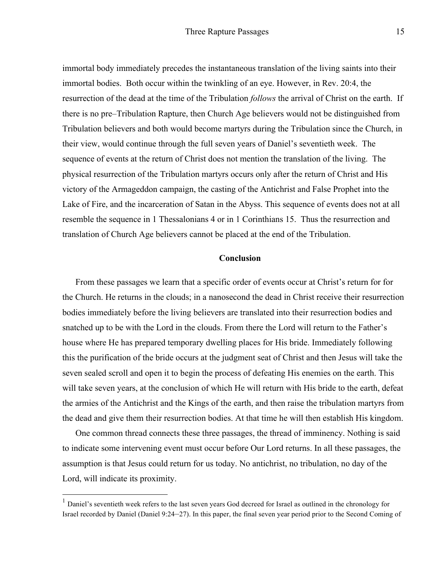immortal body immediately precedes the instantaneous translation of the living saints into their immortal bodies. Both occur within the twinkling of an eye. However, in Rev. 20:4, the resurrection of the dead at the time of the Tribulation *follows* the arrival of Christ on the earth. If there is no pre–Tribulation Rapture, then Church Age believers would not be distinguished from Tribulation believers and both would become martyrs during the Tribulation since the Church, in their view, would continue through the full seven years of Daniel's seventieth week. The sequence of events at the return of Christ does not mention the translation of the living. The physical resurrection of the Tribulation martyrs occurs only after the return of Christ and His victory of the Armageddon campaign, the casting of the Antichrist and False Prophet into the Lake of Fire, and the incarceration of Satan in the Abyss. This sequence of events does not at all resemble the sequence in 1 Thessalonians 4 or in 1 Corinthians 15. Thus the resurrection and translation of Church Age believers cannot be placed at the end of the Tribulation.

### **Conclusion**

From these passages we learn that a specific order of events occur at Christ's return for for the Church. He returns in the clouds; in a nanosecond the dead in Christ receive their resurrection bodies immediately before the living believers are translated into their resurrection bodies and snatched up to be with the Lord in the clouds. From there the Lord will return to the Father's house where He has prepared temporary dwelling places for His bride. Immediately following this the purification of the bride occurs at the judgment seat of Christ and then Jesus will take the seven sealed scroll and open it to begin the process of defeating His enemies on the earth. This will take seven years, at the conclusion of which He will return with His bride to the earth, defeat the armies of the Antichrist and the Kings of the earth, and then raise the tribulation martyrs from the dead and give them their resurrection bodies. At that time he will then establish His kingdom.

One common thread connects these three passages, the thread of imminency. Nothing is said to indicate some intervening event must occur before Our Lord returns. In all these passages, the assumption is that Jesus could return for us today. No antichrist, no tribulation, no day of the Lord, will indicate its proximity.

<sup>&</sup>lt;sup>1</sup> Daniel's seventieth week refers to the last seven years God decreed for Israel as outlined in the chronology for Israel recorded by Daniel (Daniel 9:24–27). In this paper, the final seven year period prior to the Second Coming of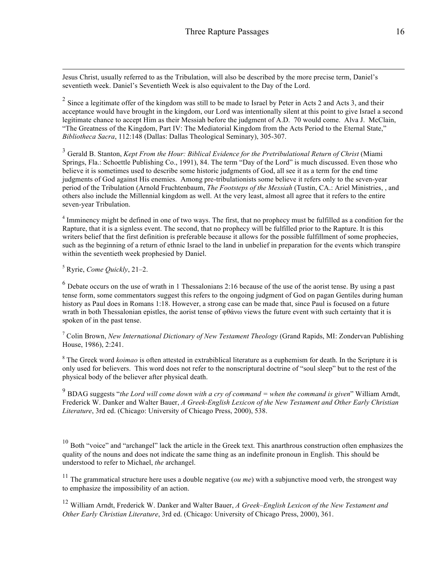Jesus Christ, usually referred to as the Tribulation, will also be described by the more precise term, Daniel's seventieth week. Daniel's Seventieth Week is also equivalent to the Day of the Lord.

 $2$  Since a legitimate offer of the kingdom was still to be made to Israel by Peter in Acts 2 and Acts 3, and their acceptance would have brought in the kingdom, our Lord was intentionally silent at this point to give Israel a second legitimate chance to accept Him as their Messiah before the judgment of A.D. 70 would come. Alva J. McClain, "The Greatness of the Kingdom, Part IV: The Mediatorial Kingdom from the Acts Period to the Eternal State," *Bibliotheca Sacra*, 112:148 (Dallas: Dallas Theological Seminary), 305-307.

<sup>3</sup> Gerald B. Stanton, *Kept From the Hour: Biblical Evidence for the Pretribulational Return of Christ* (Miami Springs, Fla.: Schoettle Publishing Co., 1991), 84. The term "Day of the Lord" is much discussed. Even those who believe it is sometimes used to describe some historic judgments of God, all see it as a term for the end time judgments of God against His enemies. Among pre-tribulationists some believe it refers only to the seven-year period of the Tribulation (Arnold Fruchtenbaum, *The Footsteps of the Messiah* (Tustin, CA.: Ariel Ministries, , and others also include the Millennial kingdom as well. At the very least, almost all agree that it refers to the entire seven-year Tribulation.

<sup>4</sup> Imminency might be defined in one of two ways. The first, that no prophecy must be fulfilled as a condition for the Rapture, that it is a signless event. The second, that no prophecy will be fulfilled prior to the Rapture. It is this writers belief that the first definition is preferable because it allows for the possible fulfillment of some prophecies, such as the beginning of a return of ethnic Israel to the land in unbelief in preparation for the events which transpire within the seventieth week prophesied by Daniel.

<sup>5</sup> Ryrie, *Come Quickly*, 21–2.

 $<sup>6</sup>$  Debate occurs on the use of wrath in 1 Thessalonians 2:16 because of the use of the aorist tense. By using a past</sup> tense form, some commentators suggest this refers to the ongoing judgment of God on pagan Gentiles during human history as Paul does in Romans 1:18. However, a strong case can be made that, since Paul is focused on a future wrath in both Thessalonian epistles, the aorist tense of  $\phi\theta\acute{\alpha}$  views the future event with such certainty that it is spoken of in the past tense.

<sup>7</sup> Colin Brown, *New International Dictionary of New Testament Theology* (Grand Rapids, MI: Zondervan Publishing House, 1986), 2:241.

<sup>8</sup> The Greek word *koimao* is often attested in extrabiblical literature as a euphemism for death. In the Scripture it is only used for believers. This word does not refer to the nonscriptural doctrine of "soul sleep" but to the rest of the physical body of the believer after physical death.

<sup>9</sup> BDAG suggests "*the Lord will come down with a cry of command = when the command is given*" William Arndt, Frederick W. Danker and Walter Bauer, *A Greek-English Lexicon of the New Testament and Other Early Christian Literature*, 3rd ed. (Chicago: University of Chicago Press, 2000), 538.

 $10$  Both "voice" and "archangel" lack the article in the Greek text. This anarthrous construction often emphasizes the quality of the nouns and does not indicate the same thing as an indefinite pronoun in English. This should be understood to refer to Michael, *the* archangel.

<sup>11</sup> The grammatical structure here uses a double negative (*ou me*) with a subjunctive mood verb, the strongest way to emphasize the impossibility of an action.

<sup>12</sup> William Arndt, Frederick W. Danker and Walter Bauer, *A Greek–English Lexicon of the New Testament and Other Early Christian Literature*, 3rd ed. (Chicago: University of Chicago Press, 2000), 361.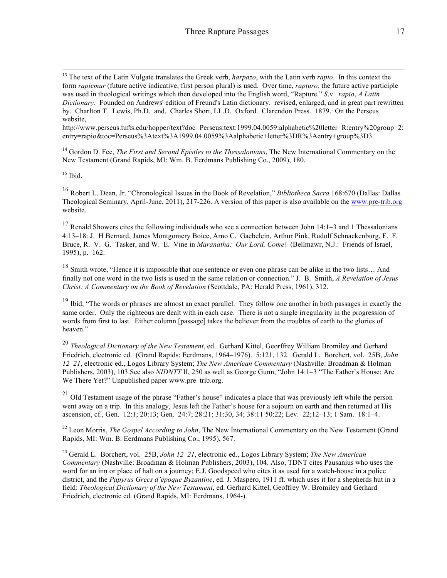http://www.perseus.tufts.edu/hopper/text?doc=Perseus:text:1999.04.0059:alphabetic%20letter=R:entry%20group=2: entry=rapio&toc=Perseus%3Atext%3A1999.04.0059%3Aalphabetic+letter%3DR%3Aentry+group%3D3.

<sup>14</sup> Gordon D. Fee, *The First and Second Epistles to the Thessalonians*, The New International Commentary on the New Testament (Grand Rapids, MI: Wm. B. Eerdmans Publishing Co., 2009), 180.

 $15$  Ibid.

<sup>16</sup> Robert L. Dean, Jr. "Chronological Issues in the Book of Revelation," *Bibliotheca Sacra* 168:670 (Dallas: Dallas Theological Seminary, April-June, 2011), 217-226. A version of this paper is also available on the www.pre-trib.org website.

<sup>17</sup> Renald Showers cites the following individuals who see a connection between John 14:1–3 and 1 Thessalonians 4:13–18: J. H Bernard, James Montgomery Boice, Arno C. Gaebelein, Arthur Pink, Rudolf Schnackenburg, F. F. Bruce, R. V. G. Tasker, and W. E. Vine in *Maranatha: Our Lord, Come!* (Bellmawr, N.J.: Friends of Israel, 1995), p. 162.

<sup>18</sup> Smith wrote, "Hence it is impossible that one sentence or even one phrase can be alike in the two lists... And finally not one word in the two lists is used in the same relation or connection." J. B. Smith, *A Revelation of Jesus Christ: A Commentary on the Book of Revelation* (Scottdale, PA: Herald Press, 1961), 312.

<sup>19</sup> Ibid, "The words or phrases are almost an exact parallel. They follow one another in both passages in exactly the same order. Only the righteous are dealt with in each case. There is not a single irregularity in the progression of words from first to last. Either column [passage] takes the believer from the troubles of earth to the glories of heaven."

<sup>20</sup> *Theological Dictionary of the New Testament*, ed. Gerhard Kittel, Georffrey William Bromiley and Gerhard Friedrich, electronic ed. (Grand Rapids: Eerdmans, 1964–1976). 5:121, 132. Gerald L. Borchert, vol. 25B, *John 12–21*, electronic ed., Logos Library System; *The New American Commentary* (Nashville: Broadman & Holman Publishers, 2003), 103.See also *NIDNTT* II, 250 as well as George Gunn, "John 14:1–3 "The Father's House: Are We There Yet?" Unpublished paper www.pre–trib.org.

 $21$  Old Testament usage of the phrase "Father's house" indicates a place that was previously left while the person went away on a trip. In this analogy, Jesus left the Father's house for a sojourn on earth and then returned at His ascension, cf., Gen. 12:1; 20:13; Gen. 24:7; 28:21; 31:30, 34; 38:11 50:22; Lev. 22;12–13; 1 Sam. 18:1–4.

<sup>22</sup> Leon Morris, *The Gospel According to John*, The New International Commentary on the New Testament (Grand Rapids, MI: Wm. B. Eerdmans Publishing Co., 1995), 567.

<sup>23</sup> Gerald L. Borchert, vol. 25B, *John 12–21*, electronic ed., Logos Library System; *The New American Commentary* (Nashville: Broadman & Holman Publishers, 2003), 104. Also, TDNT cites Pausanius who uses the word for an inn or place of halt on a journey; E.J. Goodspeed who cites it as used for a watch-house in a police district, and the *Papyrus Grecs d'époque Byzantine*, ed. J. Maspéro, 1911 ff. which uses it for a shepherds hut in a field: *Theological Dictionary of the New Testament*, ed. Gerhard Kittel, Geoffrey W. Bromiley and Gerhard Friedrich, electronic ed. (Grand Rapids, MI: Eerdmans, 1964-).

 <sup>13</sup> The text of the Latin Vulgate translates the Greek verb, *harpazo*, with the Latin verb *rapio*. In this context the form *rapiemur* (future active indicative, first person plural) is used. Over time, *rapturo,* the future active participle was used in theological writings which then developed into the English word, "Rapture." *S*.v. *rapio*, *A Latin Dictionary*. Founded on Andrews' edition of Freund's Latin dictionary. revised, enlarged, and in great part rewritten by. Charlton T. Lewis, Ph.D. and. Charles Short, LL.D. Oxford. Clarendon Press. 1879. On the Perseus website,